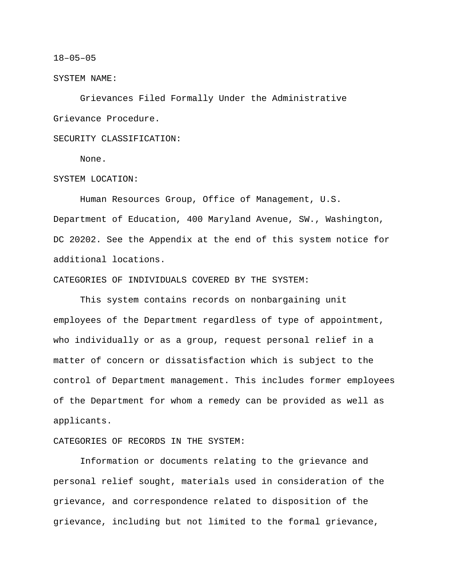#### 18–05–05

#### SYSTEM NAME:

Grievances Filed Formally Under the Administrative Grievance Procedure.

# SECURITY CLASSIFICATION:

None.

## SYSTEM LOCATION:

Human Resources Group, Office of Management, U.S. Department of Education, 400 Maryland Avenue, SW., Washington, DC 20202. See the Appendix at the end of this system notice for additional locations.

#### CATEGORIES OF INDIVIDUALS COVERED BY THE SYSTEM:

This system contains records on nonbargaining unit employees of the Department regardless of type of appointment, who individually or as a group, request personal relief in a matter of concern or dissatisfaction which is subject to the control of Department management. This includes former employees of the Department for whom a remedy can be provided as well as applicants.

## CATEGORIES OF RECORDS IN THE SYSTEM:

Information or documents relating to the grievance and personal relief sought, materials used in consideration of the grievance, and correspondence related to disposition of the grievance, including but not limited to the formal grievance,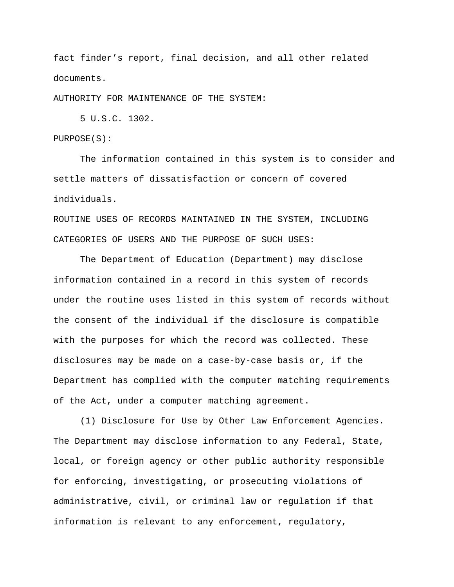fact finder's report, final decision, and all other related documents.

AUTHORITY FOR MAINTENANCE OF THE SYSTEM:

5 U.S.C. 1302.

PURPOSE(S):

The information contained in this system is to consider and settle matters of dissatisfaction or concern of covered individuals.

ROUTINE USES OF RECORDS MAINTAINED IN THE SYSTEM, INCLUDING CATEGORIES OF USERS AND THE PURPOSE OF SUCH USES:

The Department of Education (Department) may disclose information contained in a record in this system of records under the routine uses listed in this system of records without the consent of the individual if the disclosure is compatible with the purposes for which the record was collected. These disclosures may be made on a case-by-case basis or, if the Department has complied with the computer matching requirements of the Act, under a computer matching agreement.

(1) Disclosure for Use by Other Law Enforcement Agencies. The Department may disclose information to any Federal, State, local, or foreign agency or other public authority responsible for enforcing, investigating, or prosecuting violations of administrative, civil, or criminal law or regulation if that information is relevant to any enforcement, regulatory,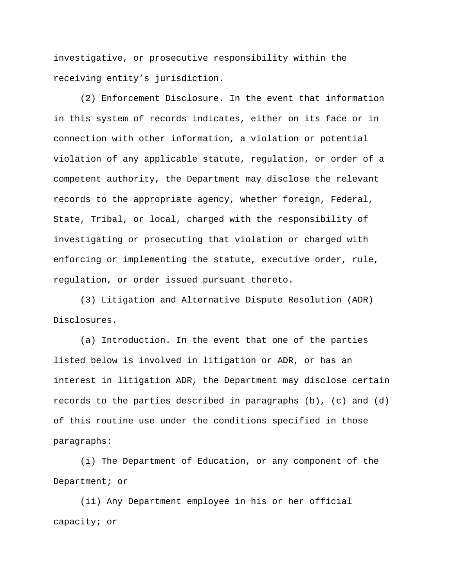investigative, or prosecutive responsibility within the receiving entity's jurisdiction.

(2) Enforcement Disclosure. In the event that information in this system of records indicates, either on its face or in connection with other information, a violation or potential violation of any applicable statute, regulation, or order of a competent authority, the Department may disclose the relevant records to the appropriate agency, whether foreign, Federal, State, Tribal, or local, charged with the responsibility of investigating or prosecuting that violation or charged with enforcing or implementing the statute, executive order, rule, regulation, or order issued pursuant thereto.

(3) Litigation and Alternative Dispute Resolution (ADR) Disclosures.

(a) Introduction. In the event that one of the parties listed below is involved in litigation or ADR, or has an interest in litigation ADR, the Department may disclose certain records to the parties described in paragraphs  $(b)$ ,  $(c)$  and  $(d)$ of this routine use under the conditions specified in those paragraphs:

(i) The Department of Education, or any component of the Department; or

(ii) Any Department employee in his or her official capacity; or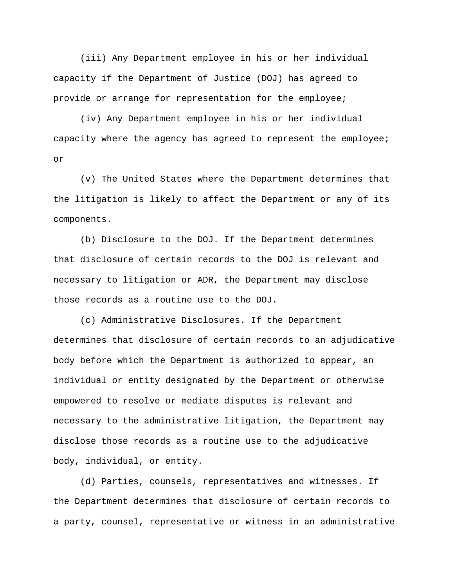(iii) Any Department employee in his or her individual capacity if the Department of Justice (DOJ) has agreed to provide or arrange for representation for the employee;

(iv) Any Department employee in his or her individual capacity where the agency has agreed to represent the employee; or

(v) The United States where the Department determines that the litigation is likely to affect the Department or any of its components.

(b) Disclosure to the DOJ. If the Department determines that disclosure of certain records to the DOJ is relevant and necessary to litigation or ADR, the Department may disclose those records as a routine use to the DOJ.

(c) Administrative Disclosures. If the Department determines that disclosure of certain records to an adjudicative body before which the Department is authorized to appear, an individual or entity designated by the Department or otherwise empowered to resolve or mediate disputes is relevant and necessary to the administrative litigation, the Department may disclose those records as a routine use to the adjudicative body, individual, or entity.

(d) Parties, counsels, representatives and witnesses. If the Department determines that disclosure of certain records to a party, counsel, representative or witness in an administrative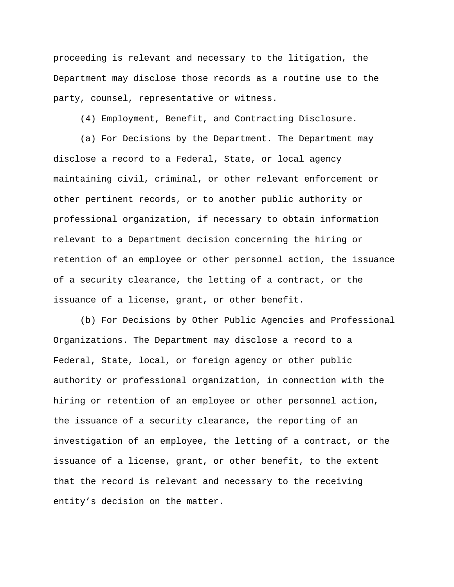proceeding is relevant and necessary to the litigation, the Department may disclose those records as a routine use to the party, counsel, representative or witness.

(4) Employment, Benefit, and Contracting Disclosure.

(a) For Decisions by the Department. The Department may disclose a record to a Federal, State, or local agency maintaining civil, criminal, or other relevant enforcement or other pertinent records, or to another public authority or professional organization, if necessary to obtain information relevant to a Department decision concerning the hiring or retention of an employee or other personnel action, the issuance of a security clearance, the letting of a contract, or the issuance of a license, grant, or other benefit.

(b) For Decisions by Other Public Agencies and Professional Organizations. The Department may disclose a record to a Federal, State, local, or foreign agency or other public authority or professional organization, in connection with the hiring or retention of an employee or other personnel action, the issuance of a security clearance, the reporting of an investigation of an employee, the letting of a contract, or the issuance of a license, grant, or other benefit, to the extent that the record is relevant and necessary to the receiving entity's decision on the matter.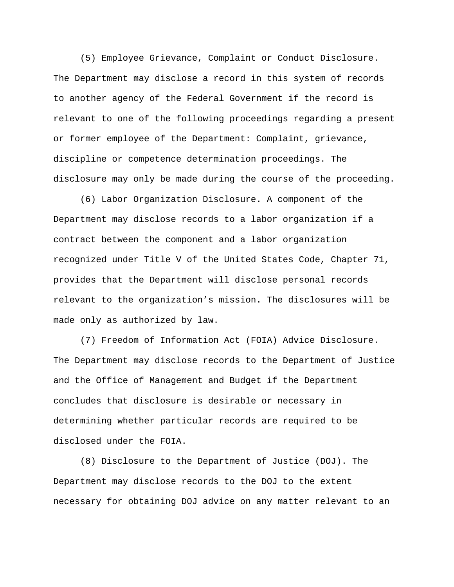(5) Employee Grievance, Complaint or Conduct Disclosure. The Department may disclose a record in this system of records to another agency of the Federal Government if the record is relevant to one of the following proceedings regarding a present or former employee of the Department: Complaint, grievance, discipline or competence determination proceedings. The disclosure may only be made during the course of the proceeding.

(6) Labor Organization Disclosure. A component of the Department may disclose records to a labor organization if a contract between the component and a labor organization recognized under Title V of the United States Code, Chapter 71, provides that the Department will disclose personal records relevant to the organization's mission. The disclosures will be made only as authorized by law.

(7) Freedom of Information Act (FOIA) Advice Disclosure. The Department may disclose records to the Department of Justice and the Office of Management and Budget if the Department concludes that disclosure is desirable or necessary in determining whether particular records are required to be disclosed under the FOIA.

(8) Disclosure to the Department of Justice (DOJ). The Department may disclose records to the DOJ to the extent necessary for obtaining DOJ advice on any matter relevant to an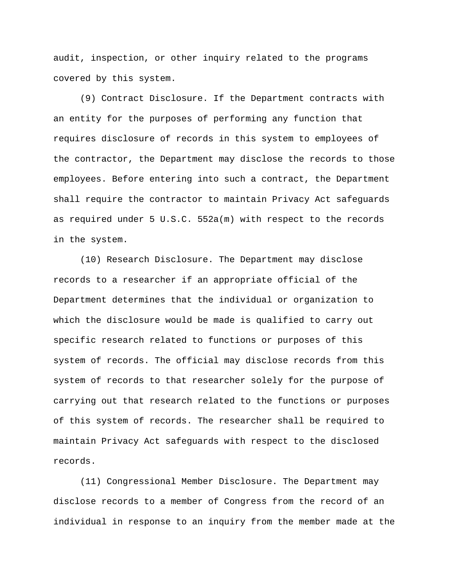audit, inspection, or other inquiry related to the programs covered by this system.

(9) Contract Disclosure. If the Department contracts with an entity for the purposes of performing any function that requires disclosure of records in this system to employees of the contractor, the Department may disclose the records to those employees. Before entering into such a contract, the Department shall require the contractor to maintain Privacy Act safeguards as required under 5 U.S.C. 552a(m) with respect to the records in the system.

(10) Research Disclosure. The Department may disclose records to a researcher if an appropriate official of the Department determines that the individual or organization to which the disclosure would be made is qualified to carry out specific research related to functions or purposes of this system of records. The official may disclose records from this system of records to that researcher solely for the purpose of carrying out that research related to the functions or purposes of this system of records. The researcher shall be required to maintain Privacy Act safeguards with respect to the disclosed records.

(11) Congressional Member Disclosure. The Department may disclose records to a member of Congress from the record of an individual in response to an inquiry from the member made at the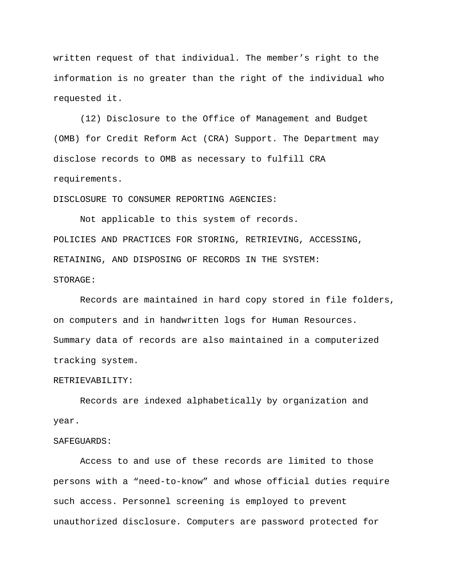written request of that individual. The member's right to the information is no greater than the right of the individual who requested it.

(12) Disclosure to the Office of Management and Budget (OMB) for Credit Reform Act (CRA) Support. The Department may disclose records to OMB as necessary to fulfill CRA requirements.

DISCLOSURE TO CONSUMER REPORTING AGENCIES:

Not applicable to this system of records. POLICIES AND PRACTICES FOR STORING, RETRIEVING, ACCESSING, RETAINING, AND DISPOSING OF RECORDS IN THE SYSTEM: STORAGE:

Records are maintained in hard copy stored in file folders, on computers and in handwritten logs for Human Resources. Summary data of records are also maintained in a computerized tracking system.

#### RETRIEVABILITY:

Records are indexed alphabetically by organization and year.

### SAFEGUARDS:

Access to and use of these records are limited to those persons with a "need-to-know" and whose official duties require such access. Personnel screening is employed to prevent unauthorized disclosure. Computers are password protected for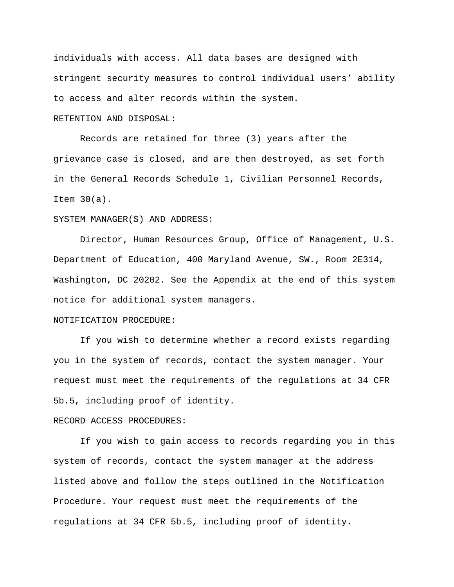individuals with access. All data bases are designed with stringent security measures to control individual users' ability to access and alter records within the system.

#### RETENTION AND DISPOSAL:

Records are retained for three (3) years after the grievance case is closed, and are then destroyed, as set forth in the General Records Schedule 1, Civilian Personnel Records, Item 30(a).

### SYSTEM MANAGER(S) AND ADDRESS:

Director, Human Resources Group, Office of Management, U.S. Department of Education, 400 Maryland Avenue, SW., Room 2E314, Washington, DC 20202. See the Appendix at the end of this system notice for additional system managers.

## NOTIFICATION PROCEDURE:

If you wish to determine whether a record exists regarding you in the system of records, contact the system manager. Your request must meet the requirements of the regulations at 34 CFR 5b.5, including proof of identity.

### RECORD ACCESS PROCEDURES:

If you wish to gain access to records regarding you in this system of records, contact the system manager at the address listed above and follow the steps outlined in the Notification Procedure. Your request must meet the requirements of the regulations at 34 CFR 5b.5, including proof of identity.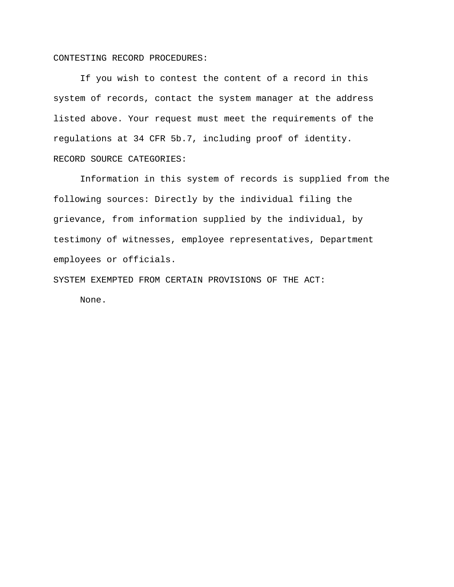#### CONTESTING RECORD PROCEDURES:

If you wish to contest the content of a record in this system of records, contact the system manager at the address listed above. Your request must meet the requirements of the regulations at 34 CFR 5b.7, including proof of identity. RECORD SOURCE CATEGORIES:

Information in this system of records is supplied from the following sources: Directly by the individual filing the grievance, from information supplied by the individual, by testimony of witnesses, employee representatives, Department employees or officials.

SYSTEM EXEMPTED FROM CERTAIN PROVISIONS OF THE ACT:

None.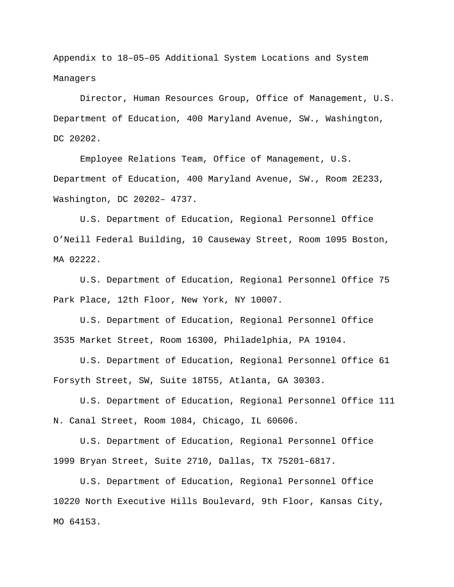Appendix to 18–05–05 Additional System Locations and System Managers

Director, Human Resources Group, Office of Management, U.S. Department of Education, 400 Maryland Avenue, SW., Washington, DC 20202.

Employee Relations Team, Office of Management, U.S. Department of Education, 400 Maryland Avenue, SW., Room 2E233, Washington, DC 20202– 4737.

U.S. Department of Education, Regional Personnel Office O'Neill Federal Building, 10 Causeway Street, Room 1095 Boston, MA 02222.

U.S. Department of Education, Regional Personnel Office 75 Park Place, 12th Floor, New York, NY 10007.

U.S. Department of Education, Regional Personnel Office 3535 Market Street, Room 16300, Philadelphia, PA 19104.

U.S. Department of Education, Regional Personnel Office 61 Forsyth Street, SW, Suite 18T55, Atlanta, GA 30303.

U.S. Department of Education, Regional Personnel Office 111 N. Canal Street, Room 1084, Chicago, IL 60606.

U.S. Department of Education, Regional Personnel Office 1999 Bryan Street, Suite 2710, Dallas, TX 75201–6817.

U.S. Department of Education, Regional Personnel Office 10220 North Executive Hills Boulevard, 9th Floor, Kansas City, MO 64153.